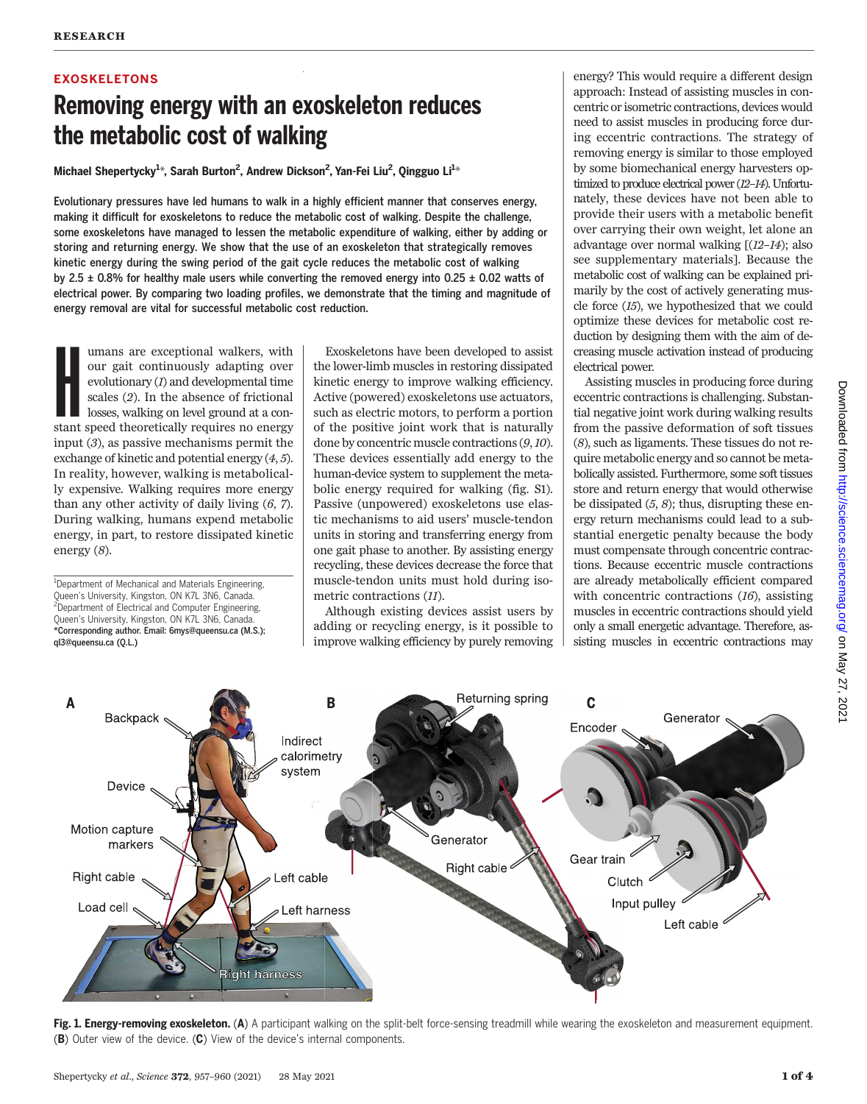# EXOSKELETONS Removing energy with an exoskeleton reduces the metabolic cost of walking

Michael Shepertycky<sup>1\*</sup>, Sarah Burton<sup>2</sup>, Andrew Dickson<sup>2</sup>, Yan-Fei Liu<sup>2</sup>, Qingguo Li<sup>1\*</sup>

Evolutionary pressures have led humans to walk in a highly efficient manner that conserves energy, making it difficult for exoskeletons to reduce the metabolic cost of walking. Despite the challenge, some exoskeletons have managed to lessen the metabolic expenditure of walking, either by adding or storing and returning energy. We show that the use of an exoskeleton that strategically removes kinetic energy during the swing period of the gait cycle reduces the metabolic cost of walking by 2.5  $\pm$  0.8% for healthy male users while converting the removed energy into 0.25  $\pm$  0.02 watts of electrical power. By comparing two loading profiles, we demonstrate that the timing and magnitude of energy removal are vital for successful metabolic cost reduction.

B

Indirect

Imans are exceptional walkers, with<br>our gait continuously adapting over<br>evolutionary (*I*) and developmental time<br>scales (*2*). In the absence of frictional<br>losses, walking on level ground at a con-<br>stant speed theoretical umans are exceptional walkers, with our gait continuously adapting over evolutionary  $(I)$  and developmental time scales (2). In the absence of frictional losses, walking on level ground at a coninput (3), as passive mechanisms permit the exchange of kinetic and potential energy (4, 5). In reality, however, walking is metabolically expensive. Walking requires more energy than any other activity of daily living (6, 7). During walking, humans expend metabolic energy, in part, to restore dissipated kinetic energy (8).

<sup>1</sup>Department of Mechanical and Materials Engineering, Queen's University, Kingston, ON K7L 3N6, Canada. <sup>2</sup>Department of Electrical and Computer Engineering, Queen's University, Kingston, ON K7L 3N6, Canada. \*Corresponding author. Email: 6mys@queensu.ca (M.S.); ql3@queensu.ca (Q.L.)

Backpack

A

Exoskeletons have been developed to assist the lower-limb muscles in restoring dissipated kinetic energy to improve walking efficiency. Active (powered) exoskeletons use actuators, such as electric motors, to perform a portion of the positive joint work that is naturally done by concentric muscle contractions (9,10). These devices essentially add energy to the human-device system to supplement the metabolic energy required for walking (fig. S1). Passive (unpowered) exoskeletons use elastic mechanisms to aid users' muscle-tendon units in storing and transferring energy from one gait phase to another. By assisting energy recycling, these devices decrease the force that muscle-tendon units must hold during isometric contractions (11).

Although existing devices assist users by adding or recycling energy, is it possible to improve walking efficiency by purely removing

Returning spring

C

Encoder

energy? This would require a different design approach: Instead of assisting muscles in concentric or isometric contractions, devices would need to assist muscles in producing force during eccentric contractions. The strategy of removing energy is similar to those employed by some biomechanical energy harvesters optimized to produce electrical power (12-14). Unfortunately, these devices have not been able to provide their users with a metabolic benefit over carrying their own weight, let alone an advantage over normal walking [(12–14); also see supplementary materials]. Because the metabolic cost of walking can be explained primarily by the cost of actively generating muscle force (15), we hypothesized that we could optimize these devices for metabolic cost reduction by designing them with the aim of decreasing muscle activation instead of producing electrical power.

Assisting muscles in producing force during eccentric contractions is challenging. Substantial negative joint work during walking results from the passive deformation of soft tissues (8), such as ligaments. These tissues do not require metabolic energy and so cannot be metabolically assisted. Furthermore, some soft tissues store and return energy that would otherwise be dissipated  $(5, 8)$ ; thus, disrupting these energy return mechanisms could lead to a substantial energetic penalty because the body must compensate through concentric contractions. Because eccentric muscle contractions are already metabolically efficient compared with concentric contractions  $(16)$ , assisting muscles in eccentric contractions should yield only a small energetic advantage. Therefore, assisting muscles in eccentric contractions may

Generator



(B) Outer view of the device. (C) View of the device's internal components.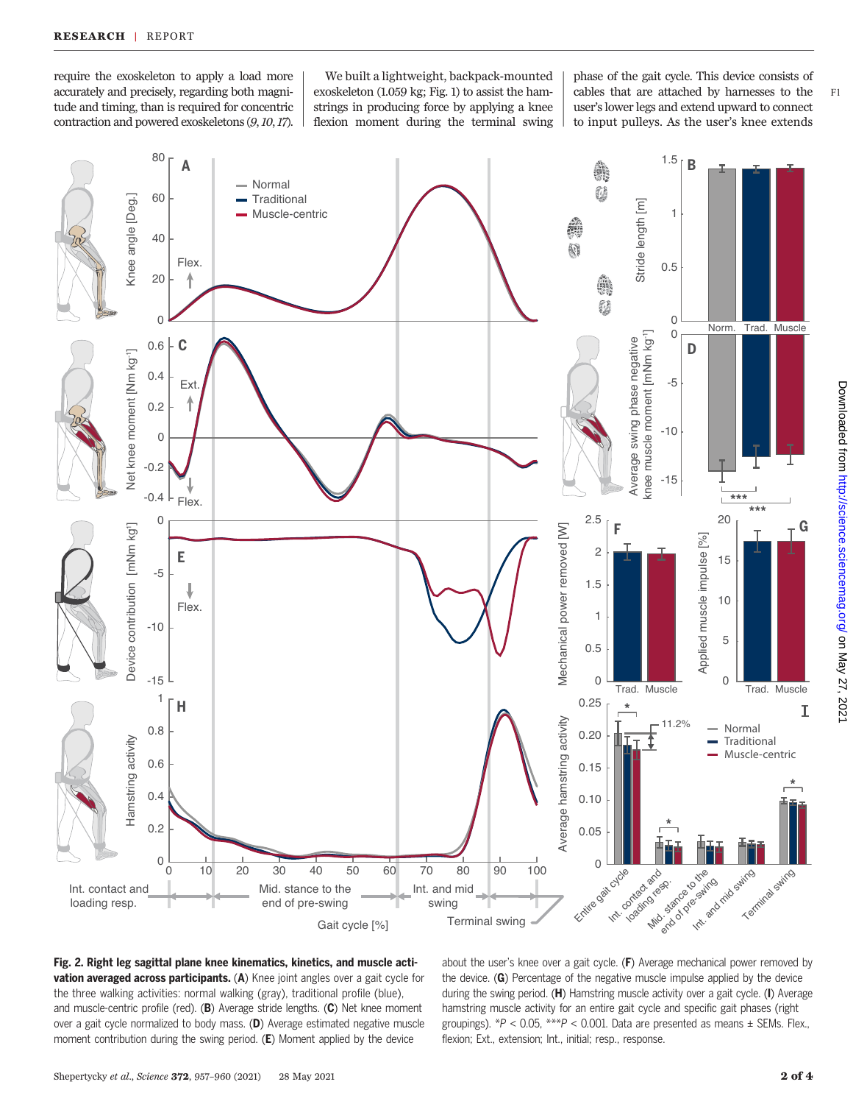require the exoskeleton to apply a load more accurately and precisely, regarding both magnitude and timing, than is required for concentric contraction and powered exoskeletons (9,10,17).

We built a lightweight, backpack-mounted strings in producing force by applying a knee flexion moment during the terminal swing

exoskeleton (1.059 kg; Fig. 1) to assist the ham- $\vert$  cables that are attached by harnesses to the F1 phase of the gait cycle. This device consists of user's lower legs and extend upward to connect to input pulleys. As the user's knee extends





Fig. 2. Right leg sagittal plane knee kinematics, kinetics, and muscle activation averaged across participants. (A) Knee joint angles over a gait cycle for the three walking activities: normal walking (gray), traditional profile (blue), and muscle-centric profile (red). (B) Average stride lengths. (C) Net knee moment over a gait cycle normalized to body mass. (D) Average estimated negative muscle moment contribution during the swing period. (E) Moment applied by the device

about the user's knee over a gait cycle.  $(F)$  Average mechanical power removed by the device. (G) Percentage of the negative muscle impulse applied by the device during the swing period. (H) Hamstring muscle activity over a gait cycle. (I) Average hamstring muscle activity for an entire gait cycle and specific gait phases (right groupings).  $*P < 0.05$ ,  $**P < 0.001$ . Data are presented as means  $\pm$  SEMs. Flex. flexion; Ext., extension; Int., initial; resp., response.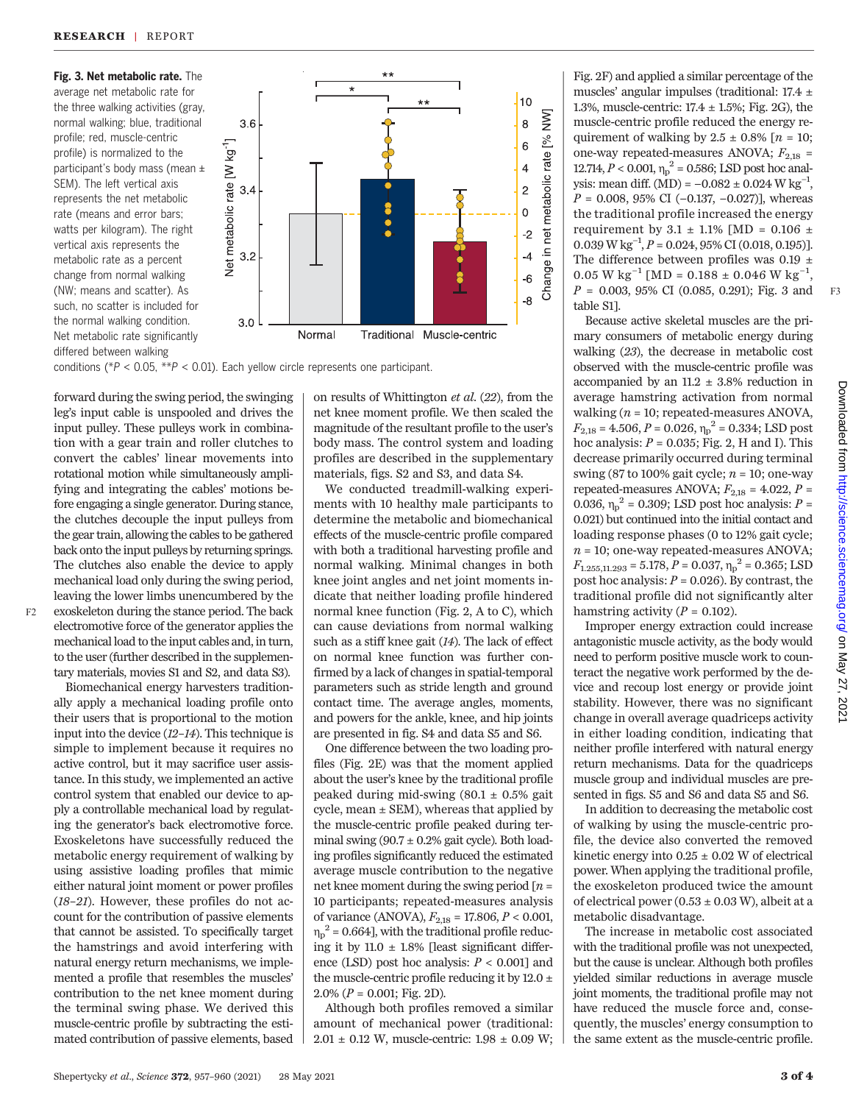Fig. 3. Net metabolic rate. The average net metabolic rate for the three walking activities (gray, normal walking; blue, traditional profile; red, muscle-centric profile) is normalized to the participant's body mass (mean ± SEM). The left vertical axis represents the net metabolic rate (means and error bars; watts per kilogram). The right vertical axis represents the metabolic rate as a percent change from normal walking (NW; means and scatter). As such, no scatter is included for the normal walking condition. Net metabolic rate significantly differed between walking



conditions ( $*P < 0.05$ ,  $*P < 0.01$ ). Each yellow circle represents one participant.

forward during the swing period, the swinging leg's input cable is unspooled and drives the input pulley. These pulleys work in combination with a gear train and roller clutches to convert the cables' linear movements into rotational motion while simultaneously amplifying and integrating the cables' motions before engaging a single generator. During stance, the clutches decouple the input pulleys from the gear train, allowing the cables to be gathered back onto the input pulleys by returning springs. The clutches also enable the device to apply mechanical load only during the swing period, leaving the lower limbs unencumbered by the F2 exoskeleton during the stance period. The back | normal knee function (Fig. 2, A to C), which electromotive force of the generator applies the mechanical load to the input cables and, in turn, to the user (further described in the supplementary materials, movies S1 and S2, and data S3).

Biomechanical energy harvesters traditionally apply a mechanical loading profile onto their users that is proportional to the motion input into the device (12–14). This technique is simple to implement because it requires no active control, but it may sacrifice user assistance. In this study, we implemented an active control system that enabled our device to apply a controllable mechanical load by regulating the generator's back electromotive force. Exoskeletons have successfully reduced the metabolic energy requirement of walking by using assistive loading profiles that mimic either natural joint moment or power profiles (18–21). However, these profiles do not account for the contribution of passive elements that cannot be assisted. To specifically target the hamstrings and avoid interfering with natural energy return mechanisms, we implemented a profile that resembles the muscles' contribution to the net knee moment during the terminal swing phase. We derived this muscle-centric profile by subtracting the estimated contribution of passive elements, based

on results of Whittington et al. (22), from the net knee moment profile. We then scaled the magnitude of the resultant profile to the user's body mass. The control system and loading profiles are described in the supplementary materials, figs. S2 and S3, and data S4.

We conducted treadmill-walking experiments with 10 healthy male participants to determine the metabolic and biomechanical effects of the muscle-centric profile compared with both a traditional harvesting profile and normal walking. Minimal changes in both knee joint angles and net joint moments indicate that neither loading profile hindered can cause deviations from normal walking such as a stiff knee gait (14). The lack of effect on normal knee function was further confirmed by a lack of changes in spatial-temporal parameters such as stride length and ground contact time. The average angles, moments, and powers for the ankle, knee, and hip joints are presented in fig. S4 and data S5 and S6.

One difference between the two loading profiles (Fig. 2E) was that the moment applied about the user's knee by the traditional profile peaked during mid-swing  $(80.1 \pm 0.5\%$  gait cycle, mean  $\pm$  SEM), whereas that applied by the muscle-centric profile peaked during terminal swing (90.7  $\pm$  0.2% gait cycle). Both loading profiles significantly reduced the estimated average muscle contribution to the negative net knee moment during the swing period  $[n =$ 10 participants; repeated-measures analysis of variance (ANOVA),  $F_{2,18}$  = 17.806,  $P < 0.001$ ,  $n_p^2$  = 0.664], with the traditional profile reducing it by 11.0  $\pm$  1.8% [least significant difference (LSD) post hoc analysis:  $P < 0.001$ ] and the muscle-centric profile reducing it by 12.0  $\pm$  $2.0\%$  ( $P = 0.001$ ; Fig. 2D).

Although both profiles removed a similar amount of mechanical power (traditional:  $2.01 \pm 0.12$  W, muscle-centric:  $1.98 \pm 0.09$  W;

Fig. 2F) and applied a similar percentage of the muscles' angular impulses (traditional: 17.4 ± 1.3%, muscle-centric:  $17.4 \pm 1.5$ %; Fig. 2G), the muscle-centric profile reduced the energy requirement of walking by  $2.5 \pm 0.8\%$  [ $n = 10$ ; one-way repeated-measures ANOVA;  $F_{2,18}$  = 12.714,  $P < 0.001$ ,  $\eta_p^2 = 0.586$ ; LSD post hoc analysis: mean diff. (MD) =  $-0.082 \pm 0.024$  W kg<sup>-1</sup>,  $P = 0.008, 95\% \text{ CI } (-0.137, -0.027)$ ], whereas the traditional profile increased the energy requirement by 3.1  $\pm$  1.1% [MD = 0.106  $\pm$  $0.039 \,\text{W}\,\text{kg}^{-1}$ ,  $P = 0.024$ , 95% CI (0.018, 0.195)]. The difference between profiles was 0.19  $\pm$  $0.05 \text{ W kg}^{-1} \text{ [MD = } 0.188 \pm 0.046 \text{ W kg}^{-1},$  $P = 0.003, 95\% \text{ CI } (0.085, 0.291); \text{ Fig. 3 and } \text{ F3}$ table S1].

Because active skeletal muscles are the primary consumers of metabolic energy during walking (23), the decrease in metabolic cost observed with the muscle-centric profile was accompanied by an 11.2  $\pm$  3.8% reduction in average hamstring activation from normal walking  $(n = 10;$  repeated-measures ANOVA,  $F_{2,18} = 4.506, P = 0.026, \eta_p^2 = 0.334$ ; LSD post hoc analysis:  $P = 0.035$ ; Fig. 2, H and I). This decrease primarily occurred during terminal swing (87 to 100% gait cycle;  $n = 10$ ; one-way repeated-measures ANOVA;  $F_{2,18}$  = 4.022,  $P$  = 0.036,  $\eta_p^2 = 0.309$ ; LSD post hoc analysis:  $P =$ 0.021) but continued into the initial contact and loading response phases (0 to 12% gait cycle;  $n = 10$ ; one-way repeated-measures ANOVA;  $F_{1.255,11.293} = 5.178, P = 0.037, \eta_p^2 = 0.365; LSD$ post hoc analysis:  $P = 0.026$ ). By contrast, the traditional profile did not significantly alter hamstring activity ( $P = 0.102$ ).

Improper energy extraction could increase antagonistic muscle activity, as the body would need to perform positive muscle work to counteract the negative work performed by the device and recoup lost energy or provide joint stability. However, there was no significant change in overall average quadriceps activity in either loading condition, indicating that neither profile interfered with natural energy return mechanisms. Data for the quadriceps muscle group and individual muscles are presented in figs. S5 and S6 and data S5 and S6.

In addition to decreasing the metabolic cost of walking by using the muscle-centric profile, the device also converted the removed kinetic energy into  $0.25 \pm 0.02$  W of electrical power. When applying the traditional profile, the exoskeleton produced twice the amount of electrical power ( $0.53 \pm 0.03$  W), albeit at a metabolic disadvantage.

The increase in metabolic cost associated with the traditional profile was not unexpected, but the cause is unclear. Although both profiles yielded similar reductions in average muscle joint moments, the traditional profile may not have reduced the muscle force and, consequently, the muscles' energy consumption to the same extent as the muscle-centric profile.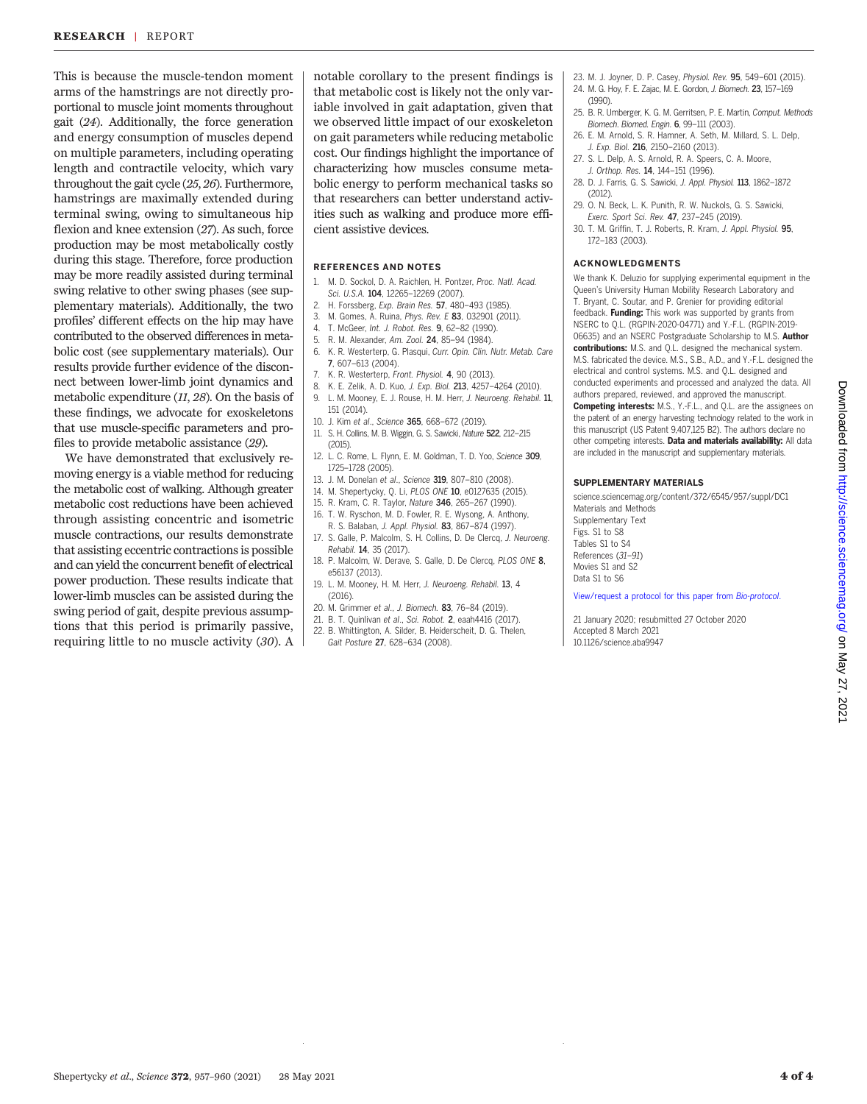This is because the muscle-tendon moment arms of the hamstrings are not directly proportional to muscle joint moments throughout gait (24). Additionally, the force generation and energy consumption of muscles depend on multiple parameters, including operating length and contractile velocity, which vary throughout the gait cycle (25, 26). Furthermore, hamstrings are maximally extended during terminal swing, owing to simultaneous hip flexion and knee extension (27). As such, force production may be most metabolically costly during this stage. Therefore, force production may be more readily assisted during terminal swing relative to other swing phases (see supplementary materials). Additionally, the two profiles' different effects on the hip may have contributed to the observed differences in metabolic cost (see supplementary materials). Our results provide further evidence of the disconnect between lower-limb joint dynamics and metabolic expenditure (11, 28). On the basis of these findings, we advocate for exoskeletons that use muscle-specific parameters and profiles to provide metabolic assistance (29).

We have demonstrated that exclusively removing energy is a viable method for reducing the metabolic cost of walking. Although greater metabolic cost reductions have been achieved through assisting concentric and isometric muscle contractions, our results demonstrate that assisting eccentric contractions is possible and can yield the concurrent benefit of electrical power production. These results indicate that lower-limb muscles can be assisted during the swing period of gait, despite previous assumptions that this period is primarily passive, requiring little to no muscle activity (30). A

notable corollary to the present findings is that metabolic cost is likely not the only variable involved in gait adaptation, given that we observed little impact of our exoskeleton on gait parameters while reducing metabolic cost. Our findings highlight the importance of characterizing how muscles consume metabolic energy to perform mechanical tasks so that researchers can better understand activities such as walking and produce more efficient assistive devices.

### REFERENCES AND NOTES

- 1. M. D. Sockol, D. A. Raichlen, H. Pontzer, Proc. Natl. Acad. Sci. U.S.A. 104, 12265–12269 (2007).
- 2. H. Forssberg, Exp. Brain Res. 57, 480–493 (1985).
- M. Gomes, A. Ruina, Phys. Rev. E 83, 032901 (2011).
- 4. T. McGeer, Int. J. Robot. Res. 9, 62–82 (1990).
- 5. R. M. Alexander, Am. Zool. 24, 85–94 (1984).
- 6. K. R. Westerterp, G. Plasqui, Curr. Opin. Clin. Nutr. Metab. Care 7, 607–613 (2004).
- 7. K. R. Westerterp, Front. Physiol. 4, 90 (2013).
- 8. K. E. Zelik, A. D. Kuo, J. Exp. Biol. 213, 4257–4264 (2010).
- 9. L. M. Mooney, E. J. Rouse, H. M. Herr, J. Neuroeng. Rehabil. 11, 151 (2014).
- 10. J. Kim et al., Science 365, 668–672 (2019).
- 11. S. H. Collins, M. B. Wiggin, G. S. Sawicki, Nature 522, 212–215 (2015).
- 12. L. C. Rome, L. Flynn, E. M. Goldman, T. D. Yoo, Science 309, 1725–1728 (2005).
- 13. J. M. Donelan et al., Science 319, 807–810 (2008).
- 14. M. Shepertycky, Q. Li, PLOS ONE 10, e0127635 (2015).
- 15. R. Kram, C. R. Taylor, Nature 346, 265–267 (1990). 16. T. W. Ryschon, M. D. Fowler, R. E. Wysong, A. Anthony,
- R. S. Balaban, J. Appl. Physiol. 83, 867–874 (1997). 17. S. Galle, P. Malcolm, S. H. Collins, D. De Clercq, J. Neuroeng.
- Rehabil. 14, 35 (2017).
- 18. P. Malcolm, W. Derave, S. Galle, D. De Clercq, PLOS ONE 8, e56137 (2013).
- 19. L. M. Mooney, H. M. Herr, J. Neuroeng. Rehabil. 13, 4 (2016).
- 20. M. Grimmer et al., J. Biomech. 83, 76–84 (2019).
- 21. B. T. Quinlivan et al., Sci. Robot. 2, eaah4416 (2017).
- 22. B. Whittington, A. Silder, B. Heiderscheit, D. G. Thelen,
- Gait Posture 27, 628–634 (2008).
- 23. M. J. Joyner, D. P. Casey, Physiol. Rev. 95, 549–601 (2015).
- 24. M. G. Hoy, F. E. Zajac, M. E. Gordon, J. Biomech. 23, 157–169 (1990).
- 25. B. R. Umberger, K. G. M. Gerritsen, P. E. Martin, Comput. Methods Biomech. Biomed. Engin. 6, 99–111 (2003).
- 26. E. M. Arnold, S. R. Hamner, A. Seth, M. Millard, S. L. Delp, J. Exp. Biol. 216, 2150-2160 (2013).
- 27. S. L. Delp, A. S. Arnold, R. A. Speers, C. A. Moore, J. Orthop. Res. 14, 144–151 (1996).
- 28. D. J. Farris, G. S. Sawicki, J. Appl. Physiol. 113, 1862–1872 (2012).
- 29. O. N. Beck, L. K. Punith, R. W. Nuckols, G. S. Sawicki, Exerc. Sport Sci. Rev. 47, 237–245 (2019).
- 30. T. M. Griffin, T. J. Roberts, R. Kram, J. Appl. Physiol. 95, 172–183 (2003).

#### ACKNOWLEDGMENTS

We thank K. Deluzio for supplying experimental equipment in the Queen's University Human Mobility Research Laboratory and T. Bryant, C. Soutar, and P. Grenier for providing editorial feedback. Funding: This work was supported by grants from NSERC to Q.L. (RGPIN-2020-04771) and Y.-F.L. (RGPIN-2019- 06635) and an NSERC Postgraduate Scholarship to M.S. Author contributions: M.S. and Q.L. designed the mechanical system. M.S. fabricated the device. M.S., S.B., A.D., and Y.-F.L. designed the electrical and control systems. M.S. and Q.L. designed and conducted experiments and processed and analyzed the data. All authors prepared, reviewed, and approved the manuscript. Competing interests: M.S., Y.-F.L., and Q.L. are the assignees on

the patent of an energy harvesting technology related to the work in this manuscript (US Patent 9,407,125 B2). The authors declare no other competing interests. Data and materials availability: All data are included in the manuscript and supplementary materials.

#### SUPPLEMENTARY MATERIALS

[science.sciencemag.org/content/372/6545/957/suppl/DC1](https://science.sciencemag.org/content/372/6545/957/suppl/DC1) Materials and Methods Supplementary Text Figs. S1 to S8 Tables S1 to S4 References (31–91) Movies S1 and S2 Data S1 to S6

[View/request a protocol for this paper from](https://en.bio-protocol.org/cjrap.aspx?eid=10.1126/science.aba9947) Bio-protocol.

21 January 2020; resubmitted 27 October 2020 Accepted 8 March 2021 10.1126/science.aba9947